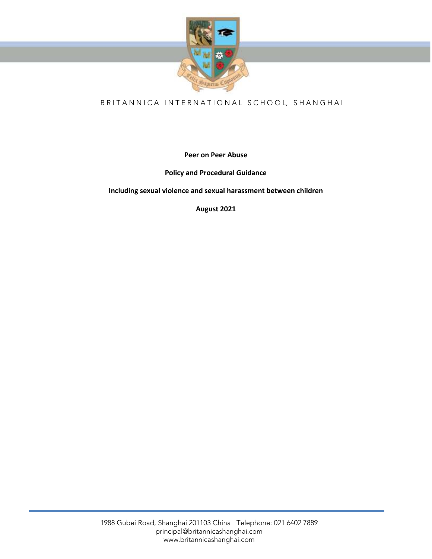

# B R I T A N N I C A I N T E R N A T I O N A L S C H O O L, S H A N G H A I

**Peer on Peer Abuse** 

**Policy and Procedural Guidance**

**Including sexual violence and sexual harassment between children**

**August 2021**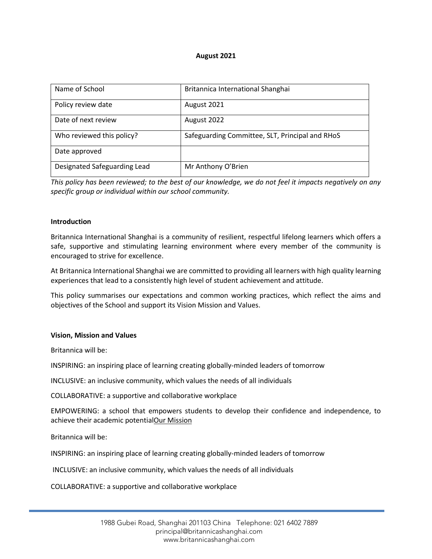#### **August 2021**

| Name of School               | Britannica International Shanghai               |
|------------------------------|-------------------------------------------------|
| Policy review date           | August 2021                                     |
| Date of next review          | August 2022                                     |
| Who reviewed this policy?    | Safeguarding Committee, SLT, Principal and RHoS |
| Date approved                |                                                 |
| Designated Safeguarding Lead | Mr Anthony O'Brien                              |

*This policy has been reviewed; to the best of our knowledge, we do not feel it impacts negatively on any specific group or individual within our school community.*

#### **Introduction**

Britannica International Shanghai is a community of resilient, respectful lifelong learners which offers a safe, supportive and stimulating learning environment where every member of the community is encouraged to strive for excellence.

At Britannica International Shanghai we are committed to providing all learners with high quality learning experiences that lead to a consistently high level of student achievement and attitude.

This policy summarises our expectations and common working practices, which reflect the aims and objectives of the School and support its Vision Mission and Values.

#### **Vision, Mission and Values**

Britannica will be:

INSPIRING: an inspiring place of learning creating globally-minded leaders of tomorrow

INCLUSIVE: an inclusive community, which values the needs of all individuals

COLLABORATIVE: a supportive and collaborative workplace

EMPOWERING: a school that empowers students to develop their confidence and independence, to achieve their academic potentialOur Mission

Britannica will be:

INSPIRING: an inspiring place of learning creating globally-minded leaders of tomorrow

INCLUSIVE: an inclusive community, which values the needs of all individuals

COLLABORATIVE: a supportive and collaborative workplace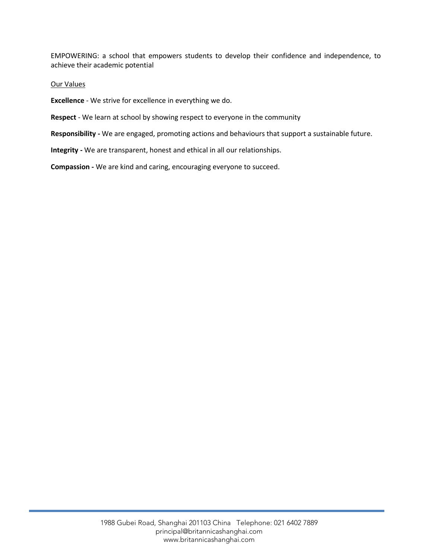EMPOWERING: a school that empowers students to develop their confidence and independence, to achieve their academic potential

#### Our Values

**Excellence** - We strive for excellence in everything we do.

**Respect** - We learn at school by showing respect to everyone in the community

**Responsibility -** We are engaged, promoting actions and behaviours that support a sustainable future.

**Integrity -** We are transparent, honest and ethical in all our relationships.

**Compassion -** We are kind and caring, encouraging everyone to succeed.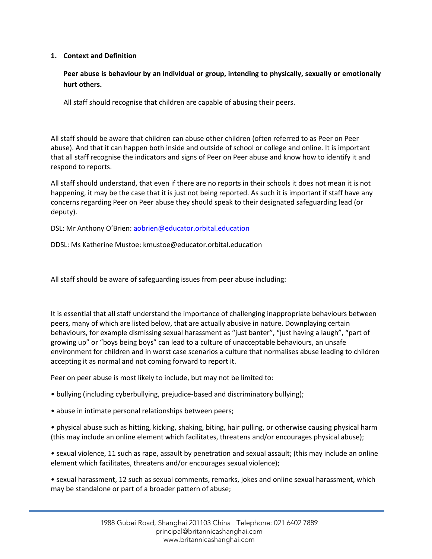# **1. Context and Definition**

**Peer abuse is behaviour by an individual or group, intending to physically, sexually or emotionally hurt others.**

All staff should recognise that children are capable of abusing their peers.

All staff should be aware that children can abuse other children (often referred to as Peer on Peer abuse). And that it can happen both inside and outside of school or college and online. It is important that all staff recognise the indicators and signs of Peer on Peer abuse and know how to identify it and respond to reports.

All staff should understand, that even if there are no reports in their schools it does not mean it is not happening, it may be the case that it is just not being reported. As such it is important if staff have any concerns regarding Peer on Peer abuse they should speak to their designated safeguarding lead (or deputy).

DSL: Mr Anthony O'Brien: [aobrien@educator.orbital.education](mailto:aobrien@educator.orbital.education)

DDSL: Ms Katherine Mustoe: kmustoe@educator.orbital.education

All staff should be aware of safeguarding issues from peer abuse including:

It is essential that all staff understand the importance of challenging inappropriate behaviours between peers, many of which are listed below, that are actually abusive in nature. Downplaying certain behaviours, for example dismissing sexual harassment as "just banter", "just having a laugh", "part of growing up" or "boys being boys" can lead to a culture of unacceptable behaviours, an unsafe environment for children and in worst case scenarios a culture that normalises abuse leading to children accepting it as normal and not coming forward to report it.

Peer on peer abuse is most likely to include, but may not be limited to:

- bullying (including cyberbullying, prejudice-based and discriminatory bullying);
- abuse in intimate personal relationships between peers;

• physical abuse such as hitting, kicking, shaking, biting, hair pulling, or otherwise causing physical harm (this may include an online element which facilitates, threatens and/or encourages physical abuse);

• sexual violence, 11 such as rape, assault by penetration and sexual assault; (this may include an online element which facilitates, threatens and/or encourages sexual violence);

• sexual harassment, 12 such as sexual comments, remarks, jokes and online sexual harassment, which may be standalone or part of a broader pattern of abuse;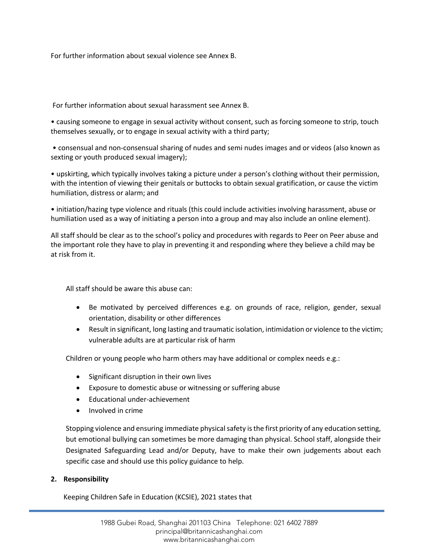For further information about sexual violence see Annex B.

For further information about sexual harassment see Annex B.

• causing someone to engage in sexual activity without consent, such as forcing someone to strip, touch themselves sexually, or to engage in sexual activity with a third party;

• consensual and non-consensual sharing of nudes and semi nudes images and or videos (also known as sexting or youth produced sexual imagery);

• upskirting, which typically involves taking a picture under a person's clothing without their permission, with the intention of viewing their genitals or buttocks to obtain sexual gratification, or cause the victim humiliation, distress or alarm; and

• initiation/hazing type violence and rituals (this could include activities involving harassment, abuse or humiliation used as a way of initiating a person into a group and may also include an online element).

All staff should be clear as to the school's policy and procedures with regards to Peer on Peer abuse and the important role they have to play in preventing it and responding where they believe a child may be at risk from it.

All staff should be aware this abuse can:

- Be motivated by perceived differences e.g. on grounds of race, religion, gender, sexual orientation, disability or other differences
- Result in significant, long lasting and traumatic isolation, intimidation or violence to the victim; vulnerable adults are at particular risk of harm

Children or young people who harm others may have additional or complex needs e.g.:

- Significant disruption in their own lives
- Exposure to domestic abuse or witnessing or suffering abuse
- Educational under-achievement
- Involved in crime

Stopping violence and ensuring immediate physical safety is the first priority of any education setting, but emotional bullying can sometimes be more damaging than physical. School staff, alongside their Designated Safeguarding Lead and/or Deputy, have to make their own judgements about each specific case and should use this policy guidance to help.

### **2. Responsibility**

Keeping Children Safe in Education (KCSIE), 2021 states that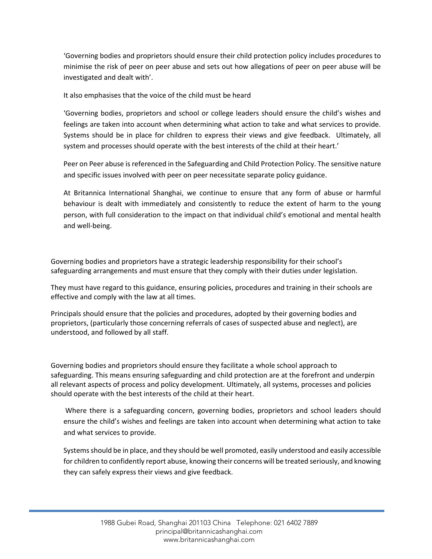'Governing bodies and proprietors should ensure their child protection policy includes procedures to minimise the risk of peer on peer abuse and sets out how allegations of peer on peer abuse will be investigated and dealt with'.

It also emphasises that the voice of the child must be heard

'Governing bodies, proprietors and school or college leaders should ensure the child's wishes and feelings are taken into account when determining what action to take and what services to provide. Systems should be in place for children to express their views and give feedback. Ultimately, all system and processes should operate with the best interests of the child at their heart.'

Peer on Peer abuse is referenced in the Safeguarding and Child Protection Policy. The sensitive nature and specific issues involved with peer on peer necessitate separate policy guidance.

At Britannica International Shanghai, we continue to ensure that any form of abuse or harmful behaviour is dealt with immediately and consistently to reduce the extent of harm to the young person, with full consideration to the impact on that individual child's emotional and mental health and well-being.

Governing bodies and proprietors have a strategic leadership responsibility for their school's safeguarding arrangements and must ensure that they comply with their duties under legislation.

They must have regard to this guidance, ensuring policies, procedures and training in their schools are effective and comply with the law at all times.

Principals should ensure that the policies and procedures, adopted by their governing bodies and proprietors, (particularly those concerning referrals of cases of suspected abuse and neglect), are understood, and followed by all staff.

Governing bodies and proprietors should ensure they facilitate a whole school approach to safeguarding. This means ensuring safeguarding and child protection are at the forefront and underpin all relevant aspects of process and policy development. Ultimately, all systems, processes and policies should operate with the best interests of the child at their heart.

Where there is a safeguarding concern, governing bodies, proprietors and school leaders should ensure the child's wishes and feelings are taken into account when determining what action to take and what services to provide.

Systems should be in place, and they should be well promoted, easily understood and easily accessible for children to confidently report abuse, knowing their concerns will be treated seriously, and knowing they can safely express their views and give feedback.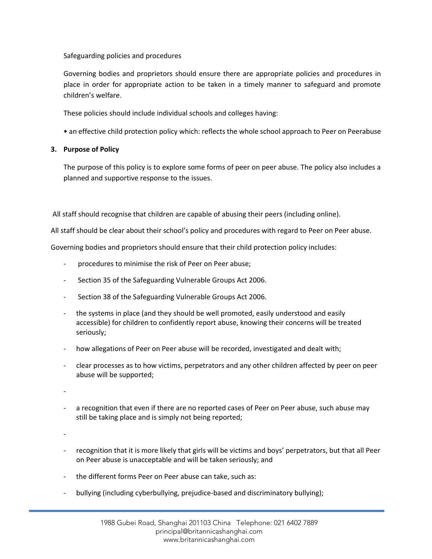Safeguarding policies and procedures

Governing bodies and proprietors should ensure there are appropriate policies and procedures in place in order for appropriate action to be taken in a timely manner to safeguard and promote children's welfare.

These policies should include individual schools and colleges having:

• an effective child protection policy which: reflects the whole school approach to Peer on Peerabuse

# **3. Purpose of Policy**

The purpose of this policy is to explore some forms of peer on peer abuse. The policy also includes a planned and supportive response to the issues.

All staff should recognise that children are capable of abusing their peers (including online).

All staff should be clear about their school's policy and procedures with regard to Peer on Peer abuse.

Governing bodies and proprietors should ensure that their child protection policy includes:

- procedures to minimise the risk of Peer on Peer abuse;
- Section 35 of the Safeguarding Vulnerable Groups Act 2006.
- Section 38 of the Safeguarding Vulnerable Groups Act 2006.
- the systems in place (and they should be well promoted, easily understood and easily accessible) for children to confidently report abuse, knowing their concerns will be treated seriously;
- how allegations of Peer on Peer abuse will be recorded, investigated and dealt with;
- clear processes as to how victims, perpetrators and any other children affected by peer on peer abuse will be supported;

-

a recognition that even if there are no reported cases of Peer on Peer abuse, such abuse may still be taking place and is simply not being reported;

-

- recognition that it is more likely that girls will be victims and boys' perpetrators, but that all Peer on Peer abuse is unacceptable and will be taken seriously; and
- the different forms Peer on Peer abuse can take, such as:
- bullying (including cyberbullying, prejudice-based and discriminatory bullying);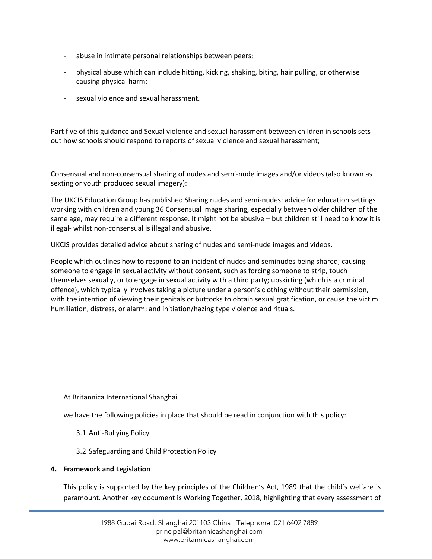- abuse in intimate personal relationships between peers;
- physical abuse which can include hitting, kicking, shaking, biting, hair pulling, or otherwise causing physical harm;
- sexual violence and sexual harassment.

Part five of this guidance and Sexual violence and sexual harassment between children in schools sets out how schools should respond to reports of sexual violence and sexual harassment;

Consensual and non-consensual sharing of nudes and semi-nude images and/or videos (also known as sexting or youth produced sexual imagery):

The UKCIS Education Group has published Sharing nudes and semi-nudes: advice for education settings working with children and young 36 Consensual image sharing, especially between older children of the same age, may require a different response. It might not be abusive – but children still need to know it is illegal- whilst non-consensual is illegal and abusive.

UKCIS provides detailed advice about sharing of nudes and semi-nude images and videos.

People which outlines how to respond to an incident of nudes and seminudes being shared; causing someone to engage in sexual activity without consent, such as forcing someone to strip, touch themselves sexually, or to engage in sexual activity with a third party; upskirting (which is a criminal offence), which typically involves taking a picture under a person's clothing without their permission, with the intention of viewing their genitals or buttocks to obtain sexual gratification, or cause the victim humiliation, distress, or alarm; and initiation/hazing type violence and rituals.

At Britannica International Shanghai

we have the following policies in place that should be read in conjunction with this policy:

- 3.1 Anti-Bullying Policy
- 3.2 Safeguarding and Child Protection Policy

### **4. Framework and Legislation**

This policy is supported by the key principles of the Children's Act, 1989 that the child's welfare is paramount. Another key document is Working Together, 2018, highlighting that every assessment of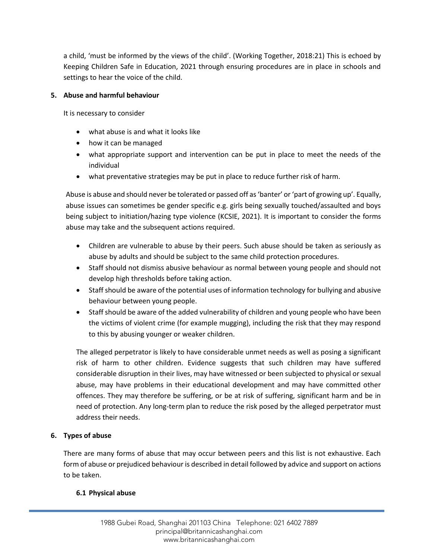a child, 'must be informed by the views of the child'. (Working Together, 2018:21) This is echoed by Keeping Children Safe in Education, 2021 through ensuring procedures are in place in schools and settings to hear the voice of the child.

# **5. Abuse and harmful behaviour**

It is necessary to consider

- what abuse is and what it looks like
- how it can be managed
- what appropriate support and intervention can be put in place to meet the needs of the individual
- what preventative strategies may be put in place to reduce further risk of harm.

Abuse is abuse and should never be tolerated or passed off as 'banter' or 'part of growing up'. Equally, abuse issues can sometimes be gender specific e.g. girls being sexually touched/assaulted and boys being subject to initiation/hazing type violence (KCSIE, 2021). It is important to consider the forms abuse may take and the subsequent actions required.

- Children are vulnerable to abuse by their peers. Such abuse should be taken as seriously as abuse by adults and should be subject to the same child protection procedures.
- Staff should not dismiss abusive behaviour as normal between young people and should not develop high thresholds before taking action.
- Staff should be aware of the potential uses of information technology for bullying and abusive behaviour between young people.
- Staff should be aware of the added vulnerability of children and young people who have been the victims of violent crime (for example mugging), including the risk that they may respond to this by abusing younger or weaker children.

The alleged perpetrator is likely to have considerable unmet needs as well as posing a significant risk of harm to other children. Evidence suggests that such children may have suffered considerable disruption in their lives, may have witnessed or been subjected to physical or sexual abuse, may have problems in their educational development and may have committed other offences. They may therefore be suffering, or be at risk of suffering, significant harm and be in need of protection. Any long-term plan to reduce the risk posed by the alleged perpetrator must address their needs.

# **6. Types of abuse**

There are many forms of abuse that may occur between peers and this list is not exhaustive. Each form of abuse or prejudiced behaviour is described in detail followed by advice and support on actions to be taken.

# **6.1 Physical abuse**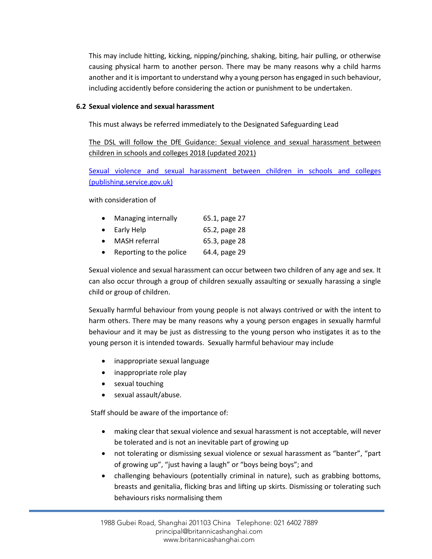This may include hitting, kicking, nipping/pinching, shaking, biting, hair pulling, or otherwise causing physical harm to another person. There may be many reasons why a child harms another and it is important to understand why a young person has engaged in such behaviour, including accidently before considering the action or punishment to be undertaken.

# **6.2 Sexual violence and sexual harassment**

This must always be referred immediately to the Designated Safeguarding Lead

The DSL will follow the DfE Guidance: Sexual violence and sexual harassment between children in schools and colleges 2018 (updated 2021)

Sexual violence and [sexual harassment between children in schools and colleges](https://assets.publishing.service.gov.uk/government/uploads/system/uploads/attachment_data/file/999239/SVSH_2021.pdf)  [\(publishing.service.gov.uk\)](https://assets.publishing.service.gov.uk/government/uploads/system/uploads/attachment_data/file/999239/SVSH_2021.pdf)

with consideration of

|           | Managing internally | 65.1, page 27 |
|-----------|---------------------|---------------|
| $\bullet$ | Early Help          | 65.2, page 28 |

- MASH referral 65.3, page 28
- Reporting to the police 64.4, page 29

Sexual violence and sexual harassment can occur between two children of any age and sex. It can also occur through a group of children sexually assaulting or sexually harassing a single child or group of children.

Sexually harmful behaviour from young people is not always contrived or with the intent to harm others. There may be many reasons why a young person engages in sexually harmful behaviour and it may be just as distressing to the young person who instigates it as to the young person it is intended towards. Sexually harmful behaviour may include

- inappropriate sexual language
- inappropriate role play
- sexual touching
- sexual assault/abuse.

Staff should be aware of the importance of:

- making clear that sexual violence and sexual harassment is not acceptable, will never be tolerated and is not an inevitable part of growing up
- not tolerating or dismissing sexual violence or sexual harassment as "banter", "part of growing up", "just having a laugh" or "boys being boys"; and
- challenging behaviours (potentially criminal in nature), such as grabbing bottoms, breasts and genitalia, flicking bras and lifting up skirts. Dismissing or tolerating such behaviours risks normalising them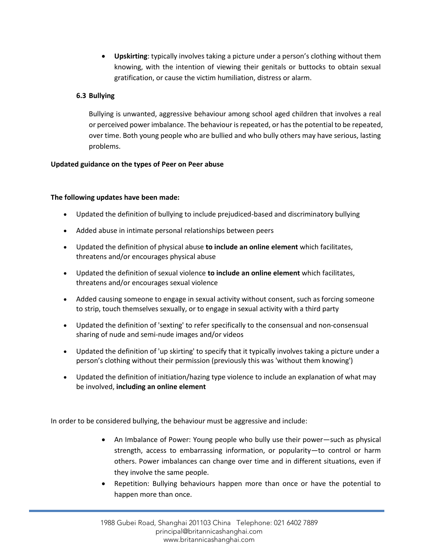• **Upskirting**: typically involves taking a picture under a person's clothing without them knowing, with the intention of viewing their genitals or buttocks to obtain sexual gratification, or cause the victim humiliation, distress or alarm.

# **6.3 Bullying**

Bullying is unwanted, aggressive behaviour among school aged children that involves a real or perceived power imbalance. The behaviour is repeated, or has the potential to be repeated, over time. Both young people who are bullied and who bully others may have serious, lasting problems.

# **Updated guidance on the types of Peer on Peer abuse**

# **The following updates have been made:**

- Updated the definition of bullying to include prejudiced-based and discriminatory bullying
- Added abuse in intimate personal relationships between peers
- Updated the definition of physical abuse **to include an online element** which facilitates, threatens and/or encourages physical abuse
- Updated the definition of sexual violence **to include an online element** which facilitates, threatens and/or encourages sexual violence
- Added causing someone to engage in sexual activity without consent, such as forcing someone to strip, touch themselves sexually, or to engage in sexual activity with a third party
- Updated the definition of 'sexting' to refer specifically to the consensual and non-consensual sharing of nude and semi-nude images and/or videos
- Updated the definition of 'up skirting' to specify that it typically involves taking a picture under a person's clothing without their permission (previously this was 'without them knowing')
- Updated the definition of initiation/hazing type violence to include an explanation of what may be involved, **including an online element**

In order to be considered bullying, the behaviour must be aggressive and include:

- An Imbalance of Power: Young people who bully use their power—such as physical strength, access to embarrassing information, or popularity—to control or harm others. Power imbalances can change over time and in different situations, even if they involve the same people.
- Repetition: Bullying behaviours happen more than once or have the potential to happen more than once.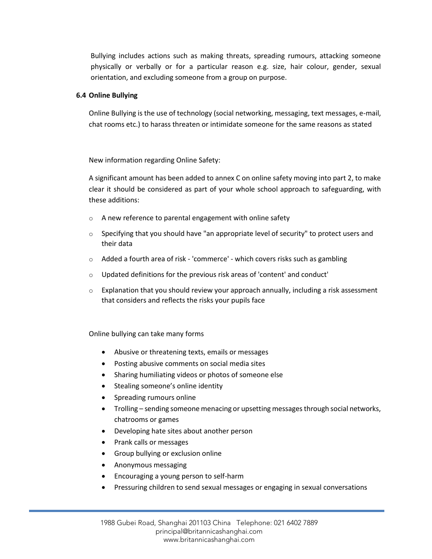Bullying includes actions such as making threats, spreading rumours, attacking someone physically or verbally or for a particular reason e.g. size, hair colour, gender, sexual orientation, and excluding someone from a group on purpose.

### **6.4 Online Bullying**

Online Bullying is the use of technology (social networking, messaging, text messages, e-mail, chat rooms etc.) to harass threaten or intimidate someone for the same reasons as stated

New information regarding Online Safety:

A significant amount has been added to annex C on online safety moving into part 2, to make clear it should be considered as part of your whole school approach to safeguarding, with these additions:

- o A new reference to parental engagement with online safety
- $\circ$  Specifying that you should have "an appropriate level of security" to protect users and their data
- $\circ$  Added a fourth area of risk 'commerce' which covers risks such as gambling
- o Updated definitions for the previous risk areas of 'content' and conduct'
- $\circ$  Explanation that you should review your approach annually, including a risk assessment that considers and reflects the risks your pupils face

Online bullying can take many forms

- Abusive or threatening texts, emails or messages
- Posting abusive comments on social media sites
- Sharing humiliating videos or photos of someone else
- Stealing someone's online identity
- Spreading rumours online
- Trolling sending someone menacing or upsetting messages through social networks, chatrooms or games
- Developing hate sites about another person
- Prank calls or messages
- Group bullying or exclusion online
- Anonymous messaging
- Encouraging a young person to self-harm
- Pressuring children to send sexual messages or engaging in sexual conversations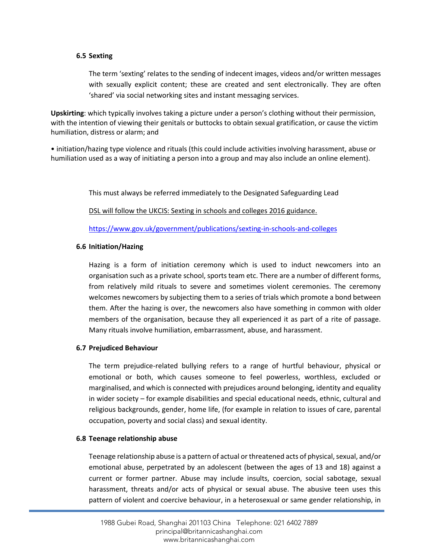#### **6.5 Sexting**

The term 'sexting' relates to the sending of indecent images, videos and/or written messages with sexually explicit content; these are created and sent electronically. They are often 'shared' via social networking sites and instant messaging services.

**Upskirting**: which typically involves taking a picture under a person's clothing without their permission, with the intention of viewing their genitals or buttocks to obtain sexual gratification, or cause the victim humiliation, distress or alarm; and

• initiation/hazing type violence and rituals (this could include activities involving harassment, abuse or humiliation used as a way of initiating a person into a group and may also include an online element).

This must always be referred immediately to the Designated Safeguarding Lead

DSL will follow the UKCIS: Sexting in schools and colleges 2016 guidance.

<https://www.gov.uk/government/publications/sexting-in-schools-and-colleges>

### **6.6 Initiation/Hazing**

Hazing is a form of initiation ceremony which is used to induct newcomers into an organisation such as a private school, sports team etc. There are a number of different forms, from relatively mild rituals to severe and sometimes violent ceremonies. The ceremony welcomes newcomers by subjecting them to a series of trials which promote a bond between them. After the hazing is over, the newcomers also have something in common with older members of the organisation, because they all experienced it as part of a rite of passage. Many rituals involve humiliation, embarrassment, abuse, and harassment.

### **6.7 Prejudiced Behaviour**

The term prejudice-related bullying refers to a range of hurtful behaviour, physical or emotional or both, which causes someone to feel powerless, worthless, excluded or marginalised, and which is connected with prejudices around belonging, identity and equality in wider society – for example disabilities and special educational needs, ethnic, cultural and religious backgrounds, gender, home life, (for example in relation to issues of care, parental occupation, poverty and social class) and sexual identity.

### **6.8 Teenage relationship abuse**

Teenage relationship abuse is a pattern of actual or threatened acts of physical, sexual, and/or emotional abuse, perpetrated by an adolescent (between the ages of 13 and 18) against a current or former partner. Abuse may include insults, coercion, social sabotage, sexual harassment, threats and/or acts of physical or sexual abuse. The abusive teen uses this pattern of violent and coercive behaviour, in a heterosexual or same gender relationship, in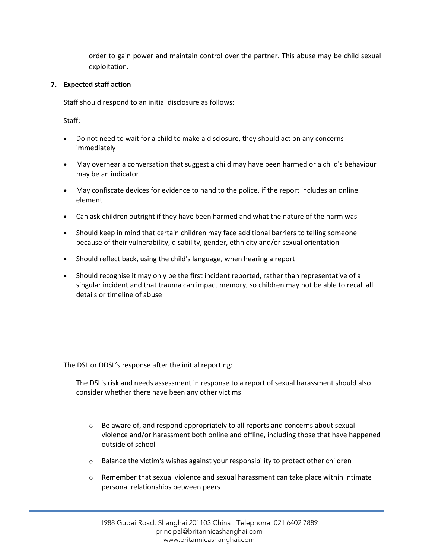order to gain power and maintain control over the partner. This abuse may be child sexual exploitation.

# **7. Expected staff action**

Staff should respond to an initial disclosure as follows:

Staff;

- Do not need to wait for a child to make a disclosure, they should act on any concerns immediately
- May overhear a conversation that suggest a child may have been harmed or a child's behaviour may be an indicator
- May confiscate devices for evidence to hand to the police, if the report includes an online element
- Can ask children outright if they have been harmed and what the nature of the harm was
- Should keep in mind that certain children may face additional barriers to telling someone because of their vulnerability, disability, gender, ethnicity and/or sexual orientation
- Should reflect back, using the child's language, when hearing a report
- Should recognise it may only be the first incident reported, rather than representative of a singular incident and that trauma can impact memory, so children may not be able to recall all details or timeline of abuse

The DSL or DDSL's response after the initial reporting:

The DSL's risk and needs assessment in response to a report of sexual harassment should also consider whether there have been any other victims

- $\circ$  Be aware of, and respond appropriately to all reports and concerns about sexual violence and/or harassment both online and offline, including those that have happened outside of school
- o Balance the victim's wishes against your responsibility to protect other children
- $\circ$  Remember that sexual violence and sexual harassment can take place within intimate personal relationships between peers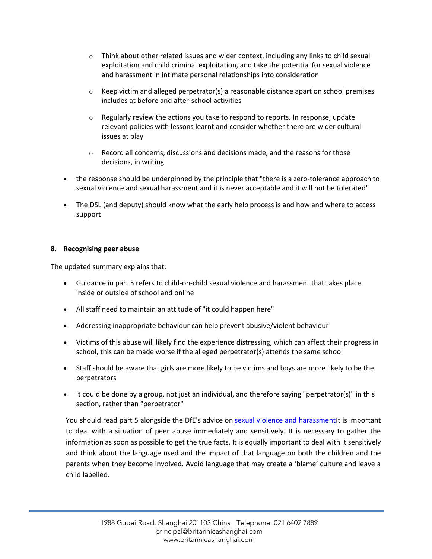- $\circ$  Think about other related issues and wider context, including any links to child sexual exploitation and child criminal exploitation, and take the potential for sexual violence and harassment in intimate personal relationships into consideration
- $\circ$  Keep victim and alleged perpetrator(s) a reasonable distance apart on school premises includes at before and after-school activities
- $\circ$  Regularly review the actions you take to respond to reports. In response, update relevant policies with lessons learnt and consider whether there are wider cultural issues at play
- $\circ$  Record all concerns, discussions and decisions made, and the reasons for those decisions, in writing
- the response should be underpinned by the principle that "there is a zero-tolerance approach to sexual violence and sexual harassment and it is never acceptable and it will not be tolerated"
- The DSL (and deputy) should know what the early help process is and how and where to access support

# **8. Recognising peer abuse**

The updated summary explains that:

- Guidance in part 5 refers to child-on-child sexual violence and harassment that takes place inside or outside of school and online
- All staff need to maintain an attitude of "it could happen here"
- Addressing inappropriate behaviour can help prevent abusive/violent behaviour
- Victims of this abuse will likely find the experience distressing, which can affect their progress in school, this can be made worse if the alleged perpetrator(s) attends the same school
- Staff should be aware that girls are more likely to be victims and boys are more likely to be the perpetrators
- It could be done by a group, not just an individual, and therefore saying "perpetrator(s)" in this section, rather than "perpetrator"

You should read part 5 alongside the DfE's advice on [sexual violence and harassmentI](https://www.gov.uk/government/publications/sexual-violence-and-sexual-harassment-between-children-in-schools-and-colleges)t is important to deal with a situation of peer abuse immediately and sensitively. It is necessary to gather the information as soon as possible to get the true facts. It is equally important to deal with it sensitively and think about the language used and the impact of that language on both the children and the parents when they become involved. Avoid language that may create a 'blame' culture and leave a child labelled.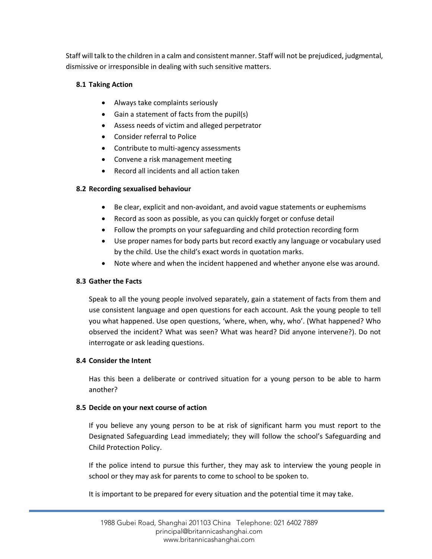Staff will talk to the children in a calm and consistent manner. Staff will not be prejudiced, judgmental, dismissive or irresponsible in dealing with such sensitive matters.

# **8.1 Taking Action**

- Always take complaints seriously
- Gain a statement of facts from the pupil(s)
- Assess needs of victim and alleged perpetrator
- Consider referral to Police
- Contribute to multi-agency assessments
- Convene a risk management meeting
- Record all incidents and all action taken

# **8.2 Recording sexualised behaviour**

- Be clear, explicit and non-avoidant, and avoid vague statements or euphemisms
- Record as soon as possible, as you can quickly forget or confuse detail
- Follow the prompts on your safeguarding and child protection recording form
- Use proper names for body parts but record exactly any language or vocabulary used by the child. Use the child's exact words in quotation marks.
- Note where and when the incident happened and whether anyone else was around.

# **8.3 Gather the Facts**

Speak to all the young people involved separately, gain a statement of facts from them and use consistent language and open questions for each account. Ask the young people to tell you what happened. Use open questions, 'where, when, why, who'. (What happened? Who observed the incident? What was seen? What was heard? Did anyone intervene?). Do not interrogate or ask leading questions.

# **8.4 Consider the Intent**

Has this been a deliberate or contrived situation for a young person to be able to harm another?

# **8.5 Decide on your next course of action**

If you believe any young person to be at risk of significant harm you must report to the Designated Safeguarding Lead immediately; they will follow the school's Safeguarding and Child Protection Policy.

If the police intend to pursue this further, they may ask to interview the young people in school or they may ask for parents to come to school to be spoken to.

It is important to be prepared for every situation and the potential time it may take.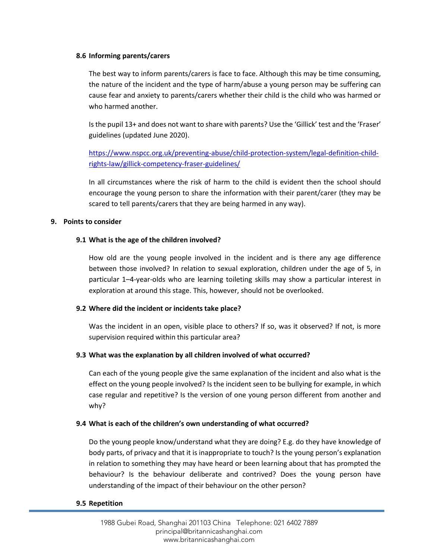### **8.6 Informing parents/carers**

The best way to inform parents/carers is face to face. Although this may be time consuming, the nature of the incident and the type of harm/abuse a young person may be suffering can cause fear and anxiety to parents/carers whether their child is the child who was harmed or who harmed another.

Is the pupil 13+ and does not want to share with parents? Use the 'Gillick' test and the 'Fraser' guidelines (updated June 2020).

[https://www.nspcc.org.uk/preventing-abuse/child-protection-system/legal-definition-child](https://www.nspcc.org.uk/preventing-abuse/child-protection-system/legal-definition-child-rights-law/gillick-competency-fraser-guidelines/)[rights-law/gillick-competency-fraser-guidelines/](https://www.nspcc.org.uk/preventing-abuse/child-protection-system/legal-definition-child-rights-law/gillick-competency-fraser-guidelines/) 

In all circumstances where the risk of harm to the child is evident then the school should encourage the young person to share the information with their parent/carer (they may be scared to tell parents/carers that they are being harmed in any way).

# **9. Points to consider**

# **9.1 What is the age of the children involved?**

How old are the young people involved in the incident and is there any age difference between those involved? In relation to sexual exploration, children under the age of 5, in particular 1–4-year-olds who are learning toileting skills may show a particular interest in exploration at around this stage. This, however, should not be overlooked.

# **9.2 Where did the incident or incidents take place?**

Was the incident in an open, visible place to others? If so, was it observed? If not, is more supervision required within this particular area?

# **9.3 What was the explanation by all children involved of what occurred?**

Can each of the young people give the same explanation of the incident and also what is the effect on the young people involved? Is the incident seen to be bullying for example, in which case regular and repetitive? Is the version of one young person different from another and why?

### **9.4 What is each of the children's own understanding of what occurred?**

Do the young people know/understand what they are doing? E.g. do they have knowledge of body parts, of privacy and that it is inappropriate to touch? Is the young person's explanation in relation to something they may have heard or been learning about that has prompted the behaviour? Is the behaviour deliberate and contrived? Does the young person have understanding of the impact of their behaviour on the other person?

### **9.5 Repetition**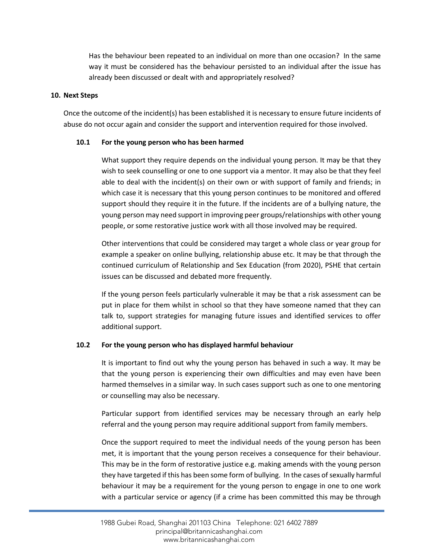Has the behaviour been repeated to an individual on more than one occasion? In the same way it must be considered has the behaviour persisted to an individual after the issue has already been discussed or dealt with and appropriately resolved?

#### **10. Next Steps**

Once the outcome of the incident(s) has been established it is necessary to ensure future incidents of abuse do not occur again and consider the support and intervention required for those involved.

### **10.1 For the young person who has been harmed**

What support they require depends on the individual young person. It may be that they wish to seek counselling or one to one support via a mentor. It may also be that they feel able to deal with the incident(s) on their own or with support of family and friends; in which case it is necessary that this young person continues to be monitored and offered support should they require it in the future. If the incidents are of a bullying nature, the young person may need support in improving peer groups/relationships with other young people, or some restorative justice work with all those involved may be required.

Other interventions that could be considered may target a whole class or year group for example a speaker on online bullying, relationship abuse etc. It may be that through the continued curriculum of Relationship and Sex Education (from 2020), PSHE that certain issues can be discussed and debated more frequently.

If the young person feels particularly vulnerable it may be that a risk assessment can be put in place for them whilst in school so that they have someone named that they can talk to, support strategies for managing future issues and identified services to offer additional support.

### **10.2 For the young person who has displayed harmful behaviour**

It is important to find out why the young person has behaved in such a way. It may be that the young person is experiencing their own difficulties and may even have been harmed themselves in a similar way. In such cases support such as one to one mentoring or counselling may also be necessary.

Particular support from identified services may be necessary through an early help referral and the young person may require additional support from family members.

Once the support required to meet the individual needs of the young person has been met, it is important that the young person receives a consequence for their behaviour. This may be in the form of restorative justice e.g. making amends with the young person they have targeted if this has been some form of bullying. In the cases of sexually harmful behaviour it may be a requirement for the young person to engage in one to one work with a particular service or agency (if a crime has been committed this may be through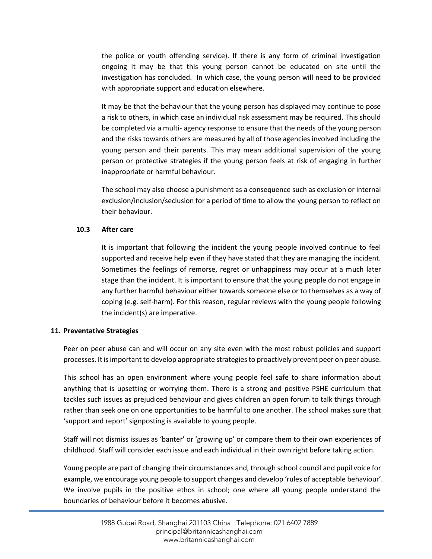the police or youth offending service). If there is any form of criminal investigation ongoing it may be that this young person cannot be educated on site until the investigation has concluded. In which case, the young person will need to be provided with appropriate support and education elsewhere.

It may be that the behaviour that the young person has displayed may continue to pose a risk to others, in which case an individual risk assessment may be required. This should be completed via a multi- agency response to ensure that the needs of the young person and the risks towards others are measured by all of those agencies involved including the young person and their parents. This may mean additional supervision of the young person or protective strategies if the young person feels at risk of engaging in further inappropriate or harmful behaviour.

The school may also choose a punishment as a consequence such as exclusion or internal exclusion/inclusion/seclusion for a period of time to allow the young person to reflect on their behaviour.

# **10.3 After care**

It is important that following the incident the young people involved continue to feel supported and receive help even if they have stated that they are managing the incident. Sometimes the feelings of remorse, regret or unhappiness may occur at a much later stage than the incident. It is important to ensure that the young people do not engage in any further harmful behaviour either towards someone else or to themselves as a way of coping (e.g. self-harm). For this reason, regular reviews with the young people following the incident(s) are imperative.

# **11. Preventative Strategies**

Peer on peer abuse can and will occur on any site even with the most robust policies and support processes. It is important to develop appropriate strategies to proactively prevent peer on peer abuse.

This school has an open environment where young people feel safe to share information about anything that is upsetting or worrying them. There is a strong and positive PSHE curriculum that tackles such issues as prejudiced behaviour and gives children an open forum to talk things through rather than seek one on one opportunities to be harmful to one another. The school makes sure that 'support and report' signposting is available to young people.

Staff will not dismiss issues as 'banter' or 'growing up' or compare them to their own experiences of childhood. Staff will consider each issue and each individual in their own right before taking action.

Young people are part of changing their circumstances and, through school council and pupil voice for example, we encourage young people to support changes and develop 'rules of acceptable behaviour'. We involve pupils in the positive ethos in school; one where all young people understand the boundaries of behaviour before it becomes abusive.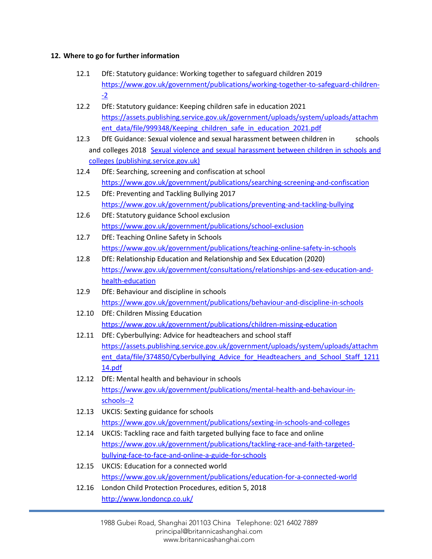# **12. Where to go for further information**

- 12.1 DfE: Statutory guidance: Working together to safeguard children 2019 [https://www.gov.uk/government/publications/working-together-to-safeguard-children-](https://www.gov.uk/government/publications/working-together-to-safeguard-children--2) [-2](https://www.gov.uk/government/publications/working-together-to-safeguard-children--2)
- 12.2 DfE: Statutory guidance: Keeping children safe in education 2021 [https://assets.publishing.service.gov.uk/government/uploads/system/uploads/attachm](https://assets.publishing.service.gov.uk/government/uploads/system/uploads/attachment_data/file/999348/Keeping_children_safe_in_education_2021.pdf) ent data/file/999348/Keeping children safe in education 2021.pdf
- 12.3 DfE Guidance: Sexual violence and sexual harassment between children in schools and colleges 2018 [Sexual violence and sexual harassment between children in schools and](https://assets.publishing.service.gov.uk/government/uploads/system/uploads/attachment_data/file/999239/SVSH_2021.pdf)  [colleges \(publishing.service.gov.uk\)](https://assets.publishing.service.gov.uk/government/uploads/system/uploads/attachment_data/file/999239/SVSH_2021.pdf)
- 12.4 DfE: Searching, screening and confiscation at school <https://www.gov.uk/government/publications/searching-screening-and-confiscation>
- 12.5 DfE: Preventing and Tackling Bullying 2017 <https://www.gov.uk/government/publications/preventing-and-tackling-bullying>
- 12.6 DfE: Statutory guidance School exclusion <https://www.gov.uk/government/publications/school-exclusion>
- 12.7 DfE: Teaching Online Safety in Schools <https://www.gov.uk/government/publications/teaching-online-safety-in-schools>
- 12.8 DfE: Relationship Education and Relationship and Sex Education (2020) [https://www.gov.uk/government/consultations/relationships-and-sex-education-and](https://www.gov.uk/government/consultations/relationships-and-sex-education-and-health-education)[health-education](https://www.gov.uk/government/consultations/relationships-and-sex-education-and-health-education)
- 12.9 DfE: Behaviour and discipline in schools <https://www.gov.uk/government/publications/behaviour-and-discipline-in-schools>
- 12.10 DfE: Children Missing Education <https://www.gov.uk/government/publications/children-missing-education>
- 12.11 DfE: Cyberbullying: Advice for headteachers and school staff [https://assets.publishing.service.gov.uk/government/uploads/system/uploads/attachm](https://assets.publishing.service.gov.uk/government/uploads/system/uploads/attachment_data/file/374850/Cyberbullying_Advice_for_Headteachers_and_School_Staff_121114.pdf) [ent\\_data/file/374850/Cyberbullying\\_Advice\\_for\\_Headteachers\\_and\\_School\\_Staff\\_1211](https://assets.publishing.service.gov.uk/government/uploads/system/uploads/attachment_data/file/374850/Cyberbullying_Advice_for_Headteachers_and_School_Staff_121114.pdf) [14.pdf](https://assets.publishing.service.gov.uk/government/uploads/system/uploads/attachment_data/file/374850/Cyberbullying_Advice_for_Headteachers_and_School_Staff_121114.pdf)
- 12.12 DfE: Mental health and behaviour in schools [https://www.gov.uk/government/publications/mental-health-and-behaviour-in](https://www.gov.uk/government/publications/mental-health-and-behaviour-in-schools--2)[schools--2](https://www.gov.uk/government/publications/mental-health-and-behaviour-in-schools--2)
- 12.13 UKCIS: Sexting guidance for schools <https://www.gov.uk/government/publications/sexting-in-schools-and-colleges>
- 12.14 UKCIS: Tackling race and faith targeted bullying face to face and online [https://www.gov.uk/government/publications/tackling-race-and-faith-targeted](https://www.gov.uk/government/publications/tackling-race-and-faith-targeted-bullying-face-to-face-and-online-a-guide-for-schools)[bullying-face-to-face-and-online-a-guide-for-schools](https://www.gov.uk/government/publications/tackling-race-and-faith-targeted-bullying-face-to-face-and-online-a-guide-for-schools)
- 12.15 UKCIS: Education for a connected world <https://www.gov.uk/government/publications/education-for-a-connected-world>
- 12.16 London Child Protection Procedures, edition 5, 2018 <http://www.londoncp.co.uk/>